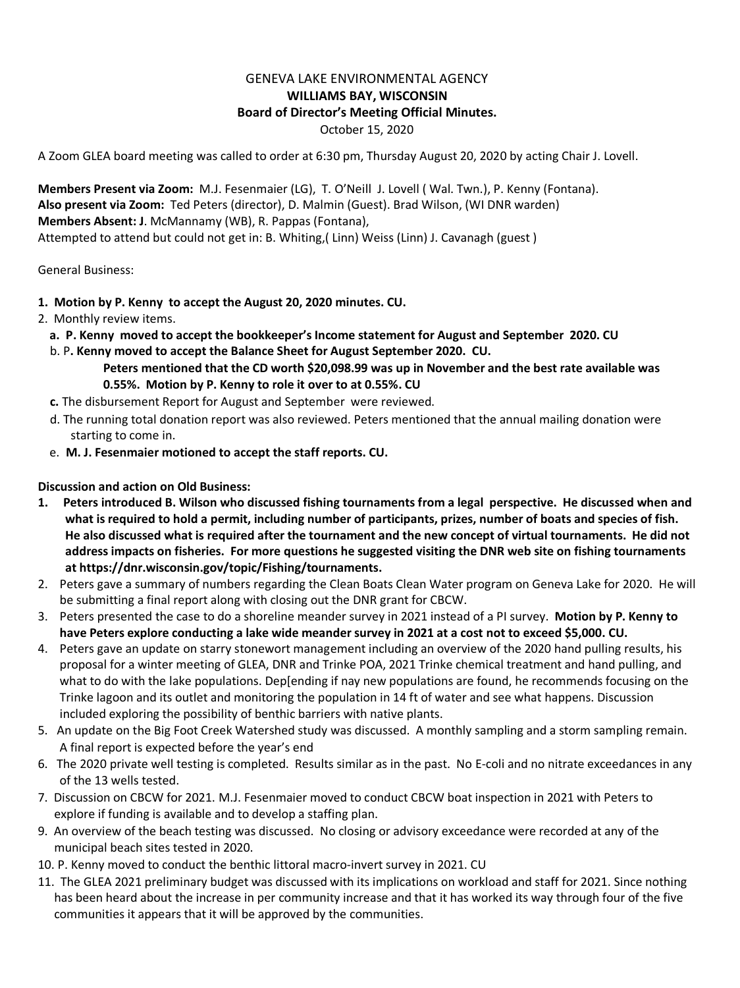## GENEVA LAKE ENVIRONMENTAL AGENCY **WILLIAMS BAY, WISCONSIN Board of Director's Meeting Official Minutes.** October 15, 2020

A Zoom GLEA board meeting was called to order at 6:30 pm, Thursday August 20, 2020 by acting Chair J. Lovell.

**Members Present via Zoom:** M.J. Fesenmaier (LG), T. O'Neill J. Lovell ( Wal. Twn.), P. Kenny (Fontana). **Also present via Zoom:** Ted Peters (director), D. Malmin (Guest). Brad Wilson, (WI DNR warden) **Members Absent: J**. McMannamy (WB), R. Pappas (Fontana), Attempted to attend but could not get in: B. Whiting,( Linn) Weiss (Linn) J. Cavanagh (guest )

General Business:

- **1. Motion by P. Kenny to accept the August 20, 2020 minutes. CU.**
- 2. Monthly review items.
	- **a. P. Kenny moved to accept the bookkeeper's Income statement for August and September 2020. CU**
	- b. P**. Kenny moved to accept the Balance Sheet for August September 2020. CU. Peters mentioned that the CD worth \$20,098.99 was up in November and the best rate available was 0.55%. Motion by P. Kenny to role it over to at 0.55%. CU**
	- **c.** The disbursement Report for August and September were reviewed.
	- d. The running total donation report was also reviewed. Peters mentioned that the annual mailing donation were starting to come in.
	- e. **M. J. Fesenmaier motioned to accept the staff reports. CU.**

## **Discussion and action on Old Business:**

- **1. Peters introduced B. Wilson who discussed fishing tournaments from a legal perspective. He discussed when and what is required to hold a permit, including number of participants, prizes, number of boats and species of fish. He also discussed what is required after the tournament and the new concept of virtual tournaments. He did not address impacts on fisheries. For more questions he suggested visiting the DNR web site on fishing tournaments at https://dnr.wisconsin.gov/topic/Fishing/tournaments.**
- 2. Peters gave a summary of numbers regarding the Clean Boats Clean Water program on Geneva Lake for 2020. He will be submitting a final report along with closing out the DNR grant for CBCW.
- 3. Peters presented the case to do a shoreline meander survey in 2021 instead of a PI survey. **Motion by P. Kenny to have Peters explore conducting a lake wide meander survey in 2021 at a cost not to exceed \$5,000. CU.**
- 4.Peters gave an update on starry stonewort management including an overview of the 2020 hand pulling results, his proposal for a winter meeting of GLEA, DNR and Trinke POA, 2021 Trinke chemical treatment and hand pulling, and what to do with the lake populations. Dep[ending if nay new populations are found, he recommends focusing on the Trinke lagoon and its outlet and monitoring the population in 14 ft of water and see what happens. Discussion included exploring the possibility of benthic barriers with native plants.
- 5. An update on the Big Foot Creek Watershed study was discussed. A monthly sampling and a storm sampling remain. A final report is expected before the year's end
- 6. The 2020 private well testing is completed. Results similar as in the past. No E-coli and no nitrate exceedances in any of the 13 wells tested.
- 7. Discussion on CBCW for 2021. M.J. Fesenmaier moved to conduct CBCW boat inspection in 2021 with Peters to explore if funding is available and to develop a staffing plan.
- 9. An overview of the beach testing was discussed. No closing or advisory exceedance were recorded at any of the municipal beach sites tested in 2020.
- 10. P. Kenny moved to conduct the benthic littoral macro-invert survey in 2021. CU
- 11. The GLEA 2021 preliminary budget was discussed with its implications on workload and staff for 2021. Since nothing has been heard about the increase in per community increase and that it has worked its way through four of the five communities it appears that it will be approved by the communities.